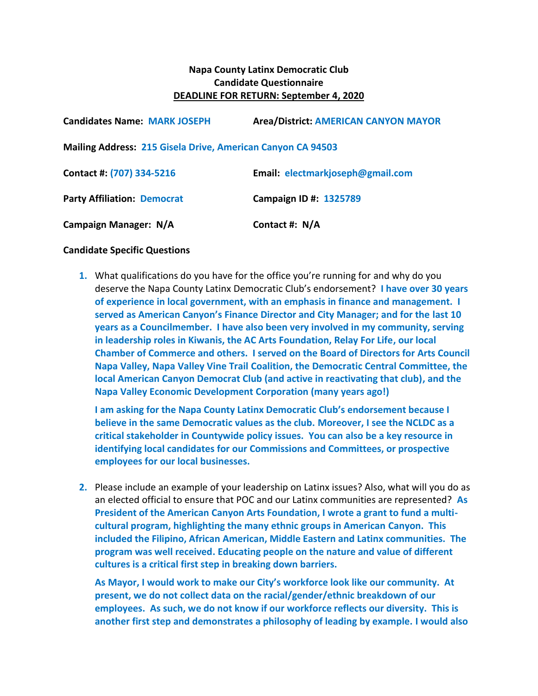## **Napa County Latinx Democratic Club Candidate Questionnaire DEADLINE FOR RETURN: September 4, 2020**

| <b>Candidates Name: MARK JOSEPH</b>                                | <b>Area/District: AMERICAN CANYON MAYOR</b> |
|--------------------------------------------------------------------|---------------------------------------------|
| <b>Mailing Address: 215 Gisela Drive, American Canyon CA 94503</b> |                                             |
| Contact #: (707) 334-5216                                          | Email: electmarkjoseph@gmail.com            |
| <b>Party Affiliation: Democrat</b>                                 | Campaign ID #: 1325789                      |
| Campaign Manager: N/A                                              | Contact #: N/A                              |

## **Candidate Specific Questions**

**1.** What qualifications do you have for the office you're running for and why do you deserve the Napa County Latinx Democratic Club's endorsement? **I have over 30 years of experience in local government, with an emphasis in finance and management. I served as American Canyon's Finance Director and City Manager; and for the last 10 years as a Councilmember. I have also been very involved in my community, serving in leadership roles in Kiwanis, the AC Arts Foundation, Relay For Life, our local Chamber of Commerce and others. I served on the Board of Directors for Arts Council Napa Valley, Napa Valley Vine Trail Coalition, the Democratic Central Committee, the local American Canyon Democrat Club (and active in reactivating that club), and the Napa Valley Economic Development Corporation (many years ago!)**

**I am asking for the Napa County Latinx Democratic Club's endorsement because I believe in the same Democratic values as the club. Moreover, I see the NCLDC as a critical stakeholder in Countywide policy issues. You can also be a key resource in identifying local candidates for our Commissions and Committees, or prospective employees for our local businesses.**

**2.** Please include an example of your leadership on Latinx issues? Also, what will you do as an elected official to ensure that POC and our Latinx communities are represented? **As President of the American Canyon Arts Foundation, I wrote a grant to fund a multicultural program, highlighting the many ethnic groups in American Canyon. This included the Filipino, African American, Middle Eastern and Latinx communities. The program was well received. Educating people on the nature and value of different cultures is a critical first step in breaking down barriers.** 

**As Mayor, I would work to make our City's workforce look like our community. At present, we do not collect data on the racial/gender/ethnic breakdown of our employees. As such, we do not know if our workforce reflects our diversity. This is another first step and demonstrates a philosophy of leading by example. I would also**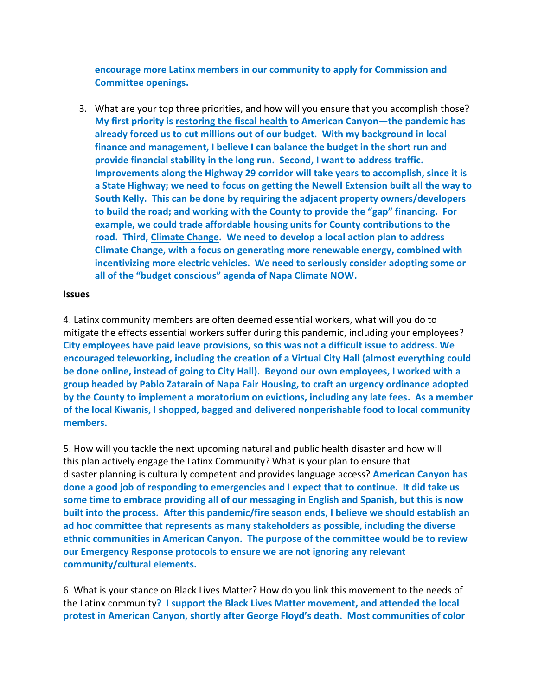**encourage more Latinx members in our community to apply for Commission and Committee openings.**

3. What are your top three priorities, and how will you ensure that you accomplish those? **My first priority is restoring the fiscal health to American Canyon—the pandemic has already forced us to cut millions out of our budget. With my background in local finance and management, I believe I can balance the budget in the short run and provide financial stability in the long run. Second, I want to address traffic. Improvements along the Highway 29 corridor will take years to accomplish, since it is a State Highway; we need to focus on getting the Newell Extension built all the way to South Kelly. This can be done by requiring the adjacent property owners/developers to build the road; and working with the County to provide the "gap" financing. For example, we could trade affordable housing units for County contributions to the road. Third, Climate Change. We need to develop a local action plan to address Climate Change, with a focus on generating more renewable energy, combined with incentivizing more electric vehicles. We need to seriously consider adopting some or all of the "budget conscious" agenda of Napa Climate NOW.** 

## **Issues**

4. Latinx community members are often deemed essential workers, what will you do to mitigate the effects essential workers suffer during this pandemic, including your employees? **City employees have paid leave provisions, so this was not a difficult issue to address. We encouraged teleworking, including the creation of a Virtual City Hall (almost everything could be done online, instead of going to City Hall). Beyond our own employees, I worked with a group headed by Pablo Zatarain of Napa Fair Housing, to craft an urgency ordinance adopted by the County to implement a moratorium on evictions, including any late fees. As a member of the local Kiwanis, I shopped, bagged and delivered nonperishable food to local community members.**

5. How will you tackle the next upcoming natural and public health disaster and how will this plan actively engage the Latinx Community? What is your plan to ensure that disaster planning is culturally competent and provides language access? **American Canyon has done a good job of responding to emergencies and I expect that to continue. It did take us some time to embrace providing all of our messaging in English and Spanish, but this is now built into the process. After this pandemic/fire season ends, I believe we should establish an ad hoc committee that represents as many stakeholders as possible, including the diverse ethnic communities in American Canyon. The purpose of the committee would be to review our Emergency Response protocols to ensure we are not ignoring any relevant community/cultural elements.**

6. What is your stance on Black Lives Matter? How do you link this movement to the needs of the Latinx community**? I support the Black Lives Matter movement, and attended the local protest in American Canyon, shortly after George Floyd's death. Most communities of color**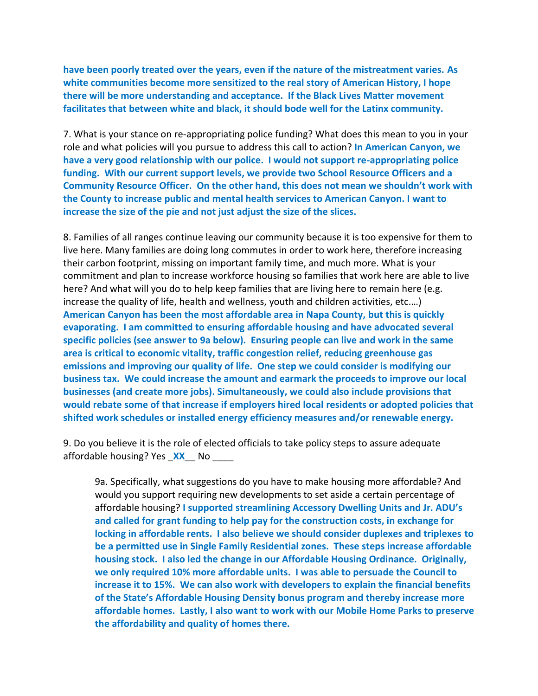**have been poorly treated over the years, even if the nature of the mistreatment varies. As white communities become more sensitized to the real story of American History, I hope there will be more understanding and acceptance. If the Black Lives Matter movement facilitates that between white and black, it should bode well for the Latinx community.**

7. What is your stance on re-appropriating police funding? What does this mean to you in your role and what policies will you pursue to address this call to action? **In American Canyon, we have a very good relationship with our police. I would not support re-appropriating police funding. With our current support levels, we provide two School Resource Officers and a Community Resource Officer. On the other hand, this does not mean we shouldn't work with the County to increase public and mental health services to American Canyon. I want to increase the size of the pie and not just adjust the size of the slices.**

8. Families of all ranges continue leaving our community because it is too expensive for them to live here. Many families are doing long commutes in order to work here, therefore increasing their carbon footprint, missing on important family time, and much more. What is your commitment and plan to increase workforce housing so families that work here are able to live here? And what will you do to help keep families that are living here to remain here (e.g. increase the quality of life, health and wellness, youth and children activities, etc.…) **American Canyon has been the most affordable area in Napa County, but this is quickly evaporating. I am committed to ensuring affordable housing and have advocated several specific policies (see answer to 9a below). Ensuring people can live and work in the same area is critical to economic vitality, traffic congestion relief, reducing greenhouse gas emissions and improving our quality of life. One step we could consider is modifying our business tax. We could increase the amount and earmark the proceeds to improve our local businesses (and create more jobs). Simultaneously, we could also include provisions that would rebate some of that increase if employers hired local residents or adopted policies that shifted work schedules or installed energy efficiency measures and/or renewable energy.**

9. Do you believe it is the role of elected officials to take policy steps to assure adequate affordable housing? Yes \_**XX**\_\_ No \_\_\_\_

9a. Specifically, what suggestions do you have to make housing more affordable? And would you support requiring new developments to set aside a certain percentage of affordable housing? **I supported streamlining Accessory Dwelling Units and Jr. ADU's and called for grant funding to help pay for the construction costs, in exchange for locking in affordable rents. I also believe we should consider duplexes and triplexes to be a permitted use in Single Family Residential zones. These steps increase affordable housing stock. I also led the change in our Affordable Housing Ordinance. Originally, we only required 10% more affordable units. I was able to persuade the Council to increase it to 15%. We can also work with developers to explain the financial benefits of the State's Affordable Housing Density bonus program and thereby increase more affordable homes. Lastly, I also want to work with our Mobile Home Parks to preserve the affordability and quality of homes there.**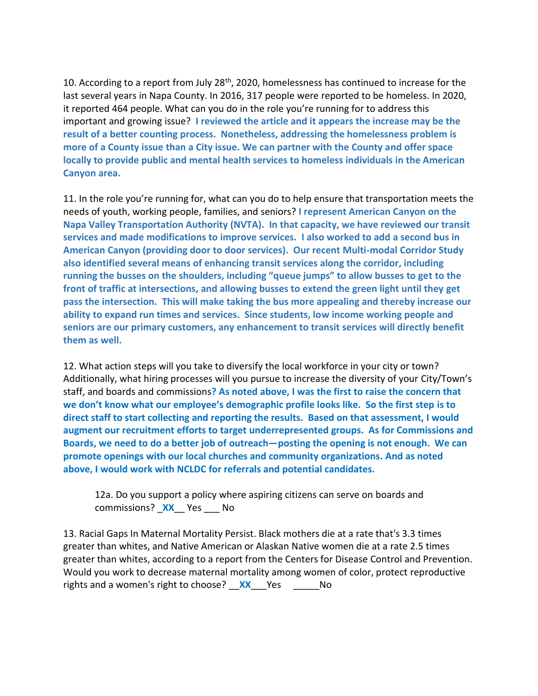10. According to a report from July 28<sup>th</sup>, 2020, homelessness has continued to increase for the last several years in Napa County. In 2016, 317 people were reported to be homeless. In 2020, it reported 464 people. What can you do in the role you're running for to address this important and growing issue? **I reviewed the article and it appears the increase may be the result of a better counting process. Nonetheless, addressing the homelessness problem is more of a County issue than a City issue. We can partner with the County and offer space locally to provide public and mental health services to homeless individuals in the American Canyon area.**

11. In the role you're running for, what can you do to help ensure that transportation meets the needs of youth, working people, families, and seniors? **I represent American Canyon on the Napa Valley Transportation Authority (NVTA). In that capacity, we have reviewed our transit services and made modifications to improve services. I also worked to add a second bus in American Canyon (providing door to door services). Our recent Multi-modal Corridor Study also identified several means of enhancing transit services along the corridor, including running the busses on the shoulders, including "queue jumps" to allow busses to get to the front of traffic at intersections, and allowing busses to extend the green light until they get pass the intersection. This will make taking the bus more appealing and thereby increase our ability to expand run times and services. Since students, low income working people and seniors are our primary customers, any enhancement to transit services will directly benefit them as well.**

12. What action steps will you take to diversify the local workforce in your city or town? Additionally, what hiring processes will you pursue to increase the diversity of your City/Town's staff, and boards and commissions**? As noted above, I was the first to raise the concern that we don't know what our employee's demographic profile looks like. So the first step is to direct staff to start collecting and reporting the results. Based on that assessment, I would augment our recruitment efforts to target underrepresented groups. As for Commissions and Boards, we need to do a better job of outreach—posting the opening is not enough. We can promote openings with our local churches and community organizations. And as noted above, I would work with NCLDC for referrals and potential candidates.**

12a. Do you support a policy where aspiring citizens can serve on boards and commissions? \_**XX**\_\_ Yes \_\_\_ No

13. Racial Gaps In Maternal Mortality Persist. Black mothers die at a rate that's 3.3 times greater than whites, and Native American or Alaskan Native women die at a rate 2.5 times greater than whites, according to a report from the Centers for Disease Control and Prevention. Would you work to decrease maternal mortality among women of color, protect reproductive rights and a women's right to choose? **XX** Yes No